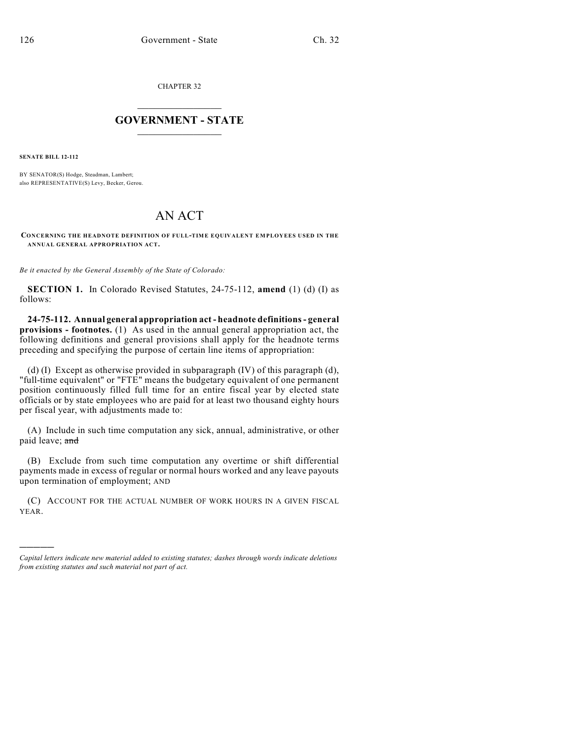CHAPTER 32

## $\overline{\phantom{a}}$  . The set of the set of the set of the set of the set of the set of the set of the set of the set of the set of the set of the set of the set of the set of the set of the set of the set of the set of the set o **GOVERNMENT - STATE**  $\_$

**SENATE BILL 12-112**

)))))

BY SENATOR(S) Hodge, Steadman, Lambert; also REPRESENTATIVE(S) Levy, Becker, Gerou.

## AN ACT

**CONCERNING THE HEADNOTE DEFINITION OF FULL-TIME EQUIVALENT EM PLOYEES USED IN THE ANNUAL GENERAL APPROPRIATION ACT.**

*Be it enacted by the General Assembly of the State of Colorado:*

**SECTION 1.** In Colorado Revised Statutes, 24-75-112, **amend** (1) (d) (I) as follows:

**24-75-112. Annual general appropriation act - headnote definitions- general provisions - footnotes.** (1) As used in the annual general appropriation act, the following definitions and general provisions shall apply for the headnote terms preceding and specifying the purpose of certain line items of appropriation:

(d) (I) Except as otherwise provided in subparagraph (IV) of this paragraph (d), "full-time equivalent" or "FTE" means the budgetary equivalent of one permanent position continuously filled full time for an entire fiscal year by elected state officials or by state employees who are paid for at least two thousand eighty hours per fiscal year, with adjustments made to:

(A) Include in such time computation any sick, annual, administrative, or other paid leave; and

(B) Exclude from such time computation any overtime or shift differential payments made in excess of regular or normal hours worked and any leave payouts upon termination of employment; AND

(C) ACCOUNT FOR THE ACTUAL NUMBER OF WORK HOURS IN A GIVEN FISCAL YEAR.

*Capital letters indicate new material added to existing statutes; dashes through words indicate deletions from existing statutes and such material not part of act.*